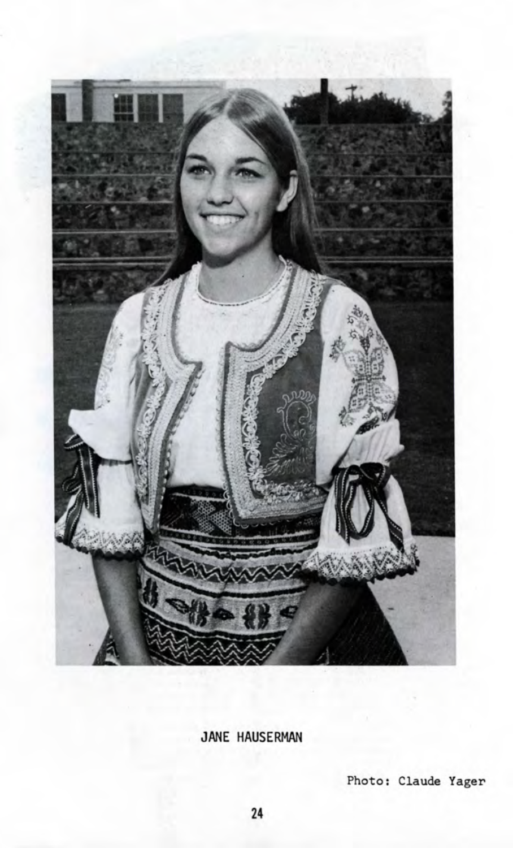

JANE HAUSERMAN

Photo: Claude Yager